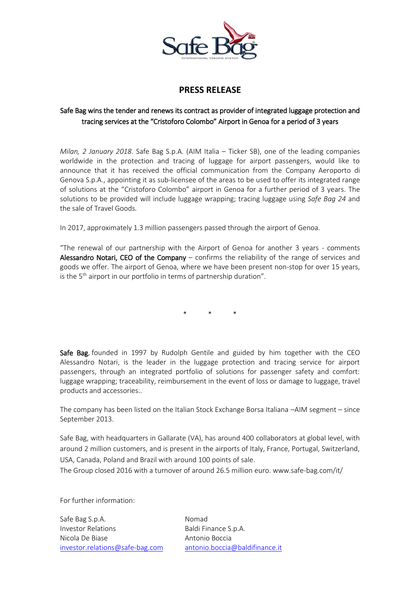

## **PRESS RELEASE**

## Safe Bag wins the tender and renews its contract as provider of integrated luggage protection and tracing services at the "Cristoforo Colombo" Airport in Genoa for a period of 3 years

*Milan, 2 January 2018*. Safe Bag S.p.A. (AIM Italia – Ticker SB), one of the leading companies worldwide in the protection and tracing of luggage for airport passengers, would like to announce that it has received the official communication from the Company Aeroporto di Genova S.p.A., appointing it as sub-licensee of the areas to be used to offer its integrated range of solutions at the "Cristoforo Colombo" airport in Genoa for a further period of 3 years. The solutions to be provided will include luggage wrapping; tracing luggage using *Safe Bag 24* and the sale of Travel Goods*.*

In 2017, approximately 1.3 million passengers passed through the airport of Genoa.

"The renewal of our partnership with the Airport of Genoa for another 3 years - comments Alessandro Notari, CEO of the Company – confirms the reliability of the range of services and goods we offer. The airport of Genoa, where we have been present non-stop for over 15 years, is the  $5<sup>th</sup>$  airport in our portfolio in terms of partnership duration".

\* \* \*

Safe Bag, founded in 1997 by Rudolph Gentile and guided by him together with the CEO Alessandro Notari, is the leader in the luggage protection and tracing service for airport passengers, through an integrated portfolio of solutions for passenger safety and comfort: luggage wrapping; traceability, reimbursement in the event of loss or damage to luggage, travel products and accessories..

The company has been listed on the Italian Stock Exchange Borsa Italiana –AIM segment – since September 2013.

Safe Bag, with headquarters in Gallarate (VA), has around 400 collaborators at global level, with around 2 million customers, and is present in the airports of Italy, France, Portugal, Switzerland, USA, Canada, Poland and Brazil with around 100 points of sale.

The Group closed 2016 with a turnover of around 26.5 million euro[. www.safe-bag.com/it/](http://www.safe-bag.com/it/)

For further information:

Safe Bag S.p.A. Nomad Investor Relations **Baldi Finance S.p.A.** Nicola De Biase **Antonio Boccia** [investor.relations@safe-bag.com](mailto:investor.relations@safe-bag.com) [antonio.boccia@baldifinance.it](mailto:antonio.boccia@baldifinance.it)